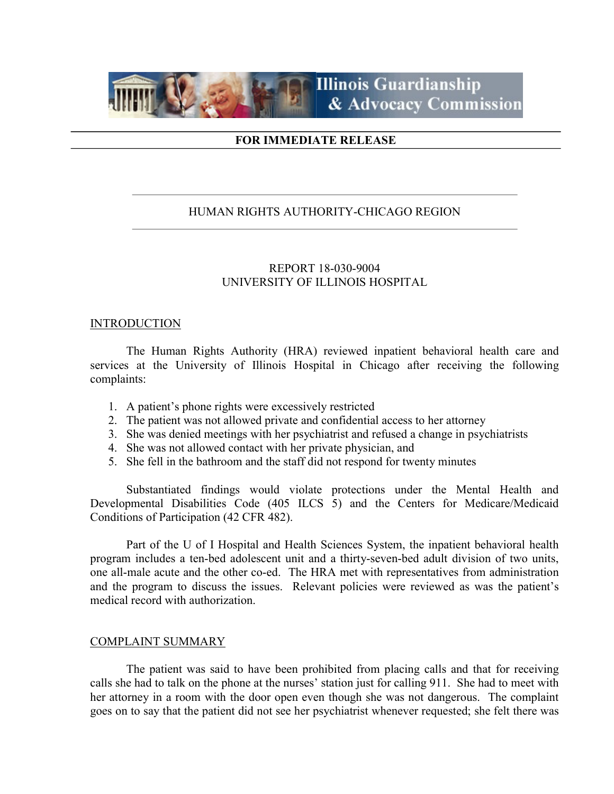

# FOR IMMEDIATE RELEASE

# HUMAN RIGHTS AUTHORITY-CHICAGO REGION

# REPORT 18-030-9004 UNIVERSITY OF ILLINOIS HOSPITAL

## **INTRODUCTION**

 The Human Rights Authority (HRA) reviewed inpatient behavioral health care and services at the University of Illinois Hospital in Chicago after receiving the following complaints:

- 1. A patient's phone rights were excessively restricted
- 2. The patient was not allowed private and confidential access to her attorney
- 3. She was denied meetings with her psychiatrist and refused a change in psychiatrists
- 4. She was not allowed contact with her private physician, and
- 5. She fell in the bathroom and the staff did not respond for twenty minutes

 Substantiated findings would violate protections under the Mental Health and Developmental Disabilities Code (405 ILCS 5) and the Centers for Medicare/Medicaid Conditions of Participation (42 CFR 482).

 Part of the U of I Hospital and Health Sciences System, the inpatient behavioral health program includes a ten-bed adolescent unit and a thirty-seven-bed adult division of two units, one all-male acute and the other co-ed. The HRA met with representatives from administration and the program to discuss the issues. Relevant policies were reviewed as was the patient's medical record with authorization.

## COMPLAINT SUMMARY

 The patient was said to have been prohibited from placing calls and that for receiving calls she had to talk on the phone at the nurses' station just for calling 911. She had to meet with her attorney in a room with the door open even though she was not dangerous. The complaint goes on to say that the patient did not see her psychiatrist whenever requested; she felt there was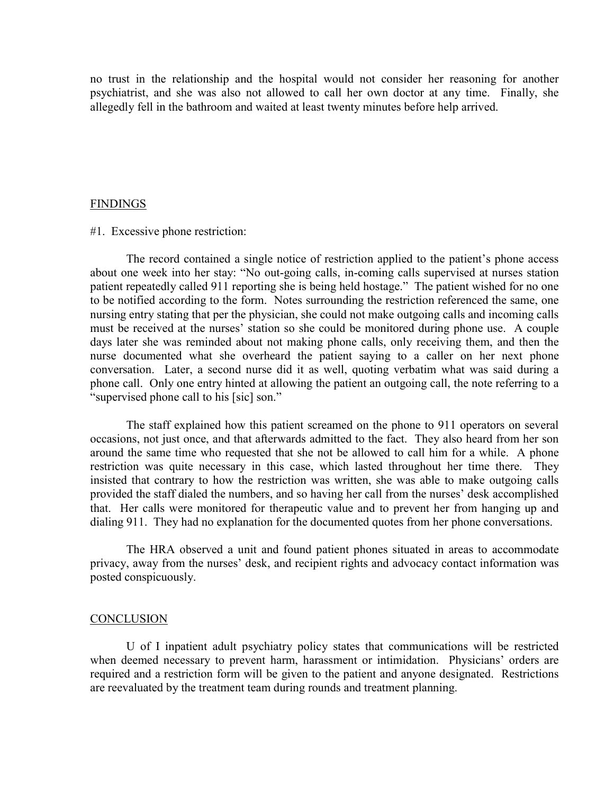no trust in the relationship and the hospital would not consider her reasoning for another psychiatrist, and she was also not allowed to call her own doctor at any time. Finally, she allegedly fell in the bathroom and waited at least twenty minutes before help arrived.

## FINDINGS

#1. Excessive phone restriction:

The record contained a single notice of restriction applied to the patient's phone access about one week into her stay: "No out-going calls, in-coming calls supervised at nurses station patient repeatedly called 911 reporting she is being held hostage." The patient wished for no one to be notified according to the form. Notes surrounding the restriction referenced the same, one nursing entry stating that per the physician, she could not make outgoing calls and incoming calls must be received at the nurses' station so she could be monitored during phone use. A couple days later she was reminded about not making phone calls, only receiving them, and then the nurse documented what she overheard the patient saying to a caller on her next phone conversation. Later, a second nurse did it as well, quoting verbatim what was said during a phone call. Only one entry hinted at allowing the patient an outgoing call, the note referring to a "supervised phone call to his [sic] son."

The staff explained how this patient screamed on the phone to 911 operators on several occasions, not just once, and that afterwards admitted to the fact. They also heard from her son around the same time who requested that she not be allowed to call him for a while. A phone restriction was quite necessary in this case, which lasted throughout her time there. They insisted that contrary to how the restriction was written, she was able to make outgoing calls provided the staff dialed the numbers, and so having her call from the nurses' desk accomplished that. Her calls were monitored for therapeutic value and to prevent her from hanging up and dialing 911. They had no explanation for the documented quotes from her phone conversations.

The HRA observed a unit and found patient phones situated in areas to accommodate privacy, away from the nurses' desk, and recipient rights and advocacy contact information was posted conspicuously.

#### **CONCLUSION**

 U of I inpatient adult psychiatry policy states that communications will be restricted when deemed necessary to prevent harm, harassment or intimidation. Physicians' orders are required and a restriction form will be given to the patient and anyone designated. Restrictions are reevaluated by the treatment team during rounds and treatment planning.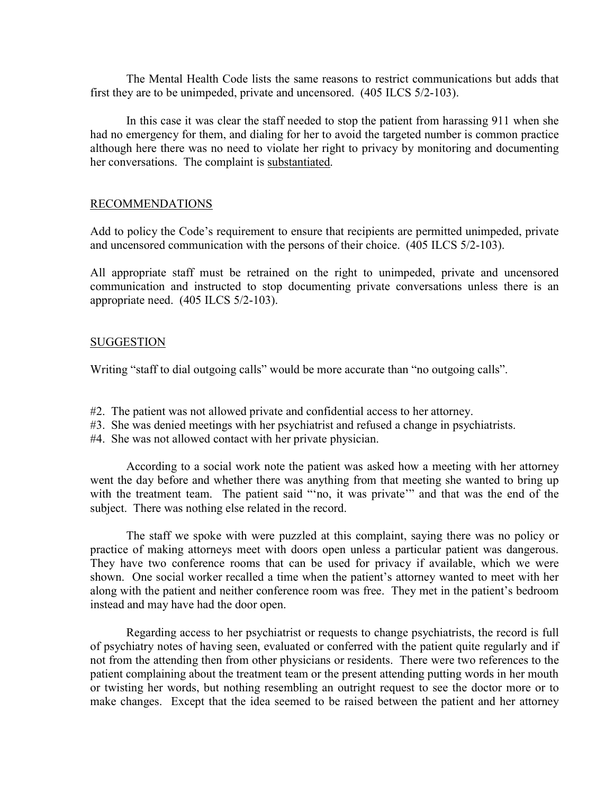The Mental Health Code lists the same reasons to restrict communications but adds that first they are to be unimpeded, private and uncensored. (405 ILCS 5/2-103).

 In this case it was clear the staff needed to stop the patient from harassing 911 when she had no emergency for them, and dialing for her to avoid the targeted number is common practice although here there was no need to violate her right to privacy by monitoring and documenting her conversations. The complaint is substantiated.

# RECOMMENDATIONS

Add to policy the Code's requirement to ensure that recipients are permitted unimpeded, private and uncensored communication with the persons of their choice. (405 ILCS 5/2-103).

All appropriate staff must be retrained on the right to unimpeded, private and uncensored communication and instructed to stop documenting private conversations unless there is an appropriate need. (405 ILCS 5/2-103).

# **SUGGESTION**

Writing "staff to dial outgoing calls" would be more accurate than "no outgoing calls".

- #2. The patient was not allowed private and confidential access to her attorney.
- #3. She was denied meetings with her psychiatrist and refused a change in psychiatrists.
- #4. She was not allowed contact with her private physician.

According to a social work note the patient was asked how a meeting with her attorney went the day before and whether there was anything from that meeting she wanted to bring up with the treatment team. The patient said "'no, it was private'" and that was the end of the subject. There was nothing else related in the record.

 The staff we spoke with were puzzled at this complaint, saying there was no policy or practice of making attorneys meet with doors open unless a particular patient was dangerous. They have two conference rooms that can be used for privacy if available, which we were shown. One social worker recalled a time when the patient's attorney wanted to meet with her along with the patient and neither conference room was free. They met in the patient's bedroom instead and may have had the door open.

 Regarding access to her psychiatrist or requests to change psychiatrists, the record is full of psychiatry notes of having seen, evaluated or conferred with the patient quite regularly and if not from the attending then from other physicians or residents. There were two references to the patient complaining about the treatment team or the present attending putting words in her mouth or twisting her words, but nothing resembling an outright request to see the doctor more or to make changes. Except that the idea seemed to be raised between the patient and her attorney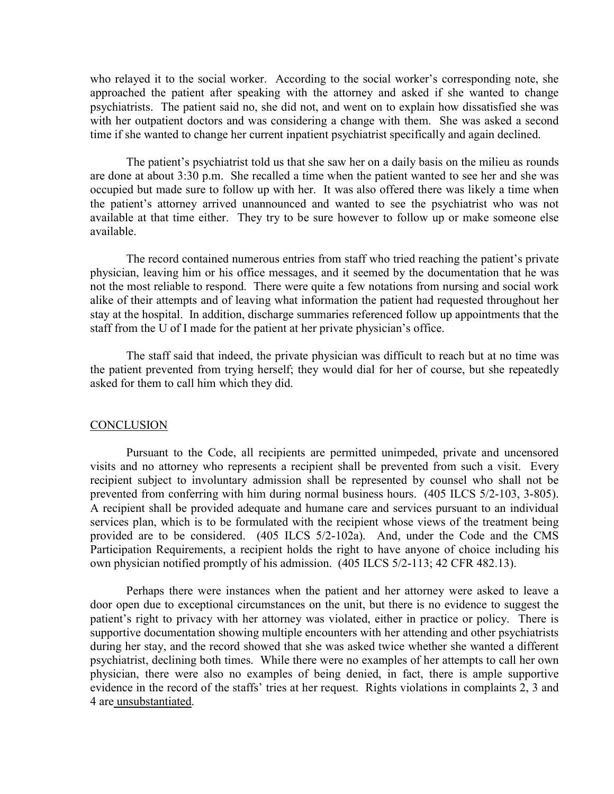who relayed it to the social worker. According to the social worker's corresponding note, she approached the patient after speaking with the attorney and asked if she wanted to change psychiatrists. The patient said no, she did not, and went on to explain how dissatisfied she was with her outpatient doctors and was considering a change with them. She was asked a second time if she wanted to change her current inpatient psychiatrist specifically and again declined.

 The patient's psychiatrist told us that she saw her on a daily basis on the milieu as rounds are done at about 3:30 p.m. She recalled a time when the patient wanted to see her and she was occupied but made sure to follow up with her. It was also offered there was likely a time when the patient's attorney arrived unannounced and wanted to see the psychiatrist who was not available at that time either. They try to be sure however to follow up or make someone else available.

 The record contained numerous entries from staff who tried reaching the patient's private physician, leaving him or his office messages, and it seemed by the documentation that he was not the most reliable to respond. There were quite a few notations from nursing and social work alike of their attempts and of leaving what information the patient had requested throughout her stay at the hospital. In addition, discharge summaries referenced follow up appointments that the staff from the U of I made for the patient at her private physician's office.

 The staff said that indeed, the private physician was difficult to reach but at no time was the patient prevented from trying herself; they would dial for her of course, but she repeatedly asked for them to call him which they did.

## **CONCLUSION**

 Pursuant to the Code, all recipients are permitted unimpeded, private and uncensored visits and no attorney who represents a recipient shall be prevented from such a visit. Every recipient subject to involuntary admission shall be represented by counsel who shall not be prevented from conferring with him during normal business hours. (405 ILCS 5/2-103, 3-805). A recipient shall be provided adequate and humane care and services pursuant to an individual services plan, which is to be formulated with the recipient whose views of the treatment being provided are to be considered. (405 ILCS 5/2-102a). And, under the Code and the CMS Participation Requirements, a recipient holds the right to have anyone of choice including his own physician notified promptly of his admission. (405 ILCS 5/2-113; 42 CFR 482.13).

 Perhaps there were instances when the patient and her attorney were asked to leave a door open due to exceptional circumstances on the unit, but there is no evidence to suggest the patient's right to privacy with her attorney was violated, either in practice or policy. There is supportive documentation showing multiple encounters with her attending and other psychiatrists during her stay, and the record showed that she was asked twice whether she wanted a different psychiatrist, declining both times. While there were no examples of her attempts to call her own physician, there were also no examples of being denied, in fact, there is ample supportive evidence in the record of the staffs' tries at her request. Rights violations in complaints 2, 3 and 4 are unsubstantiated.